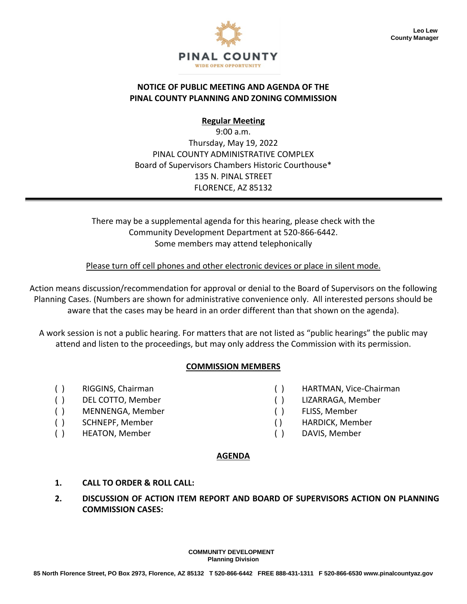

### **NOTICE OF PUBLIC MEETING AND AGENDA OF THE PINAL COUNTY PLANNING AND ZONING COMMISSION**

**Regular Meeting**

9:00 a.m. Thursday, May 19, 2022 PINAL COUNTY ADMINISTRATIVE COMPLEX Board of Supervisors Chambers Historic Courthouse\* 135 N. PINAL STREET FLORENCE, AZ 85132

There may be a supplemental agenda for this hearing, please check with the Community Development Department at 520-866-6442. Some members may attend telephonically

Please turn off cell phones and other electronic devices or place in silent mode.

Action means discussion/recommendation for approval or denial to the Board of Supervisors on the following Planning Cases. (Numbers are shown for administrative convenience only. All interested persons should be aware that the cases may be heard in an order different than that shown on the agenda).

A work session is not a public hearing. For matters that are not listed as "public hearings" the public may attend and listen to the proceedings, but may only address the Commission with its permission.

## **COMMISSION MEMBERS**

- 
- 
- ( ) MENNENGA, Member ( ) FLISS, Member
- 
- ( ) HEATON, Member ( ) DAVIS, Member
- ( ) RIGGINS, Chairman ( ) HARTMAN, Vice-Chairman
- ( ) DEL COTTO, Member ( ) LIZARRAGA, Member
	-
- ( ) SCHNEPF, Member ( ) HARDICK, Member
	-

### **AGENDA**

- **1. CALL TO ORDER & ROLL CALL:**
- **2. DISCUSSION OF ACTION ITEM REPORT AND BOARD OF SUPERVISORS ACTION ON PLANNING COMMISSION CASES:**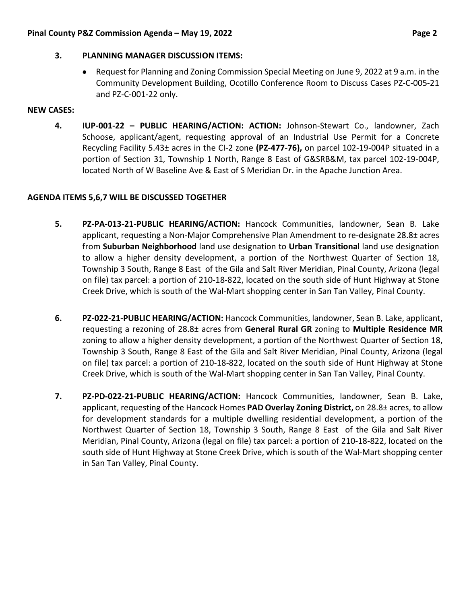### **3. PLANNING MANAGER DISCUSSION ITEMS:**

• Request for Planning and Zoning Commission Special Meeting on June 9, 2022 at 9 a.m. in the Community Development Building, Ocotillo Conference Room to Discuss Cases PZ-C-005-21 and PZ-C-001-22 only.

### **NEW CASES:**

**4. IUP-001-22 – PUBLIC HEARING/ACTION: ACTION:** Johnson-Stewart Co., landowner, Zach Schoose, applicant/agent, requesting approval of an Industrial Use Permit for a Concrete Recycling Facility 5.43± acres in the CI-2 zone **(PZ-477-76),** on parcel 102-19-004P situated in a portion of Section 31, Township 1 North, Range 8 East of G&SRB&M, tax parcel 102-19-004P, located North of W Baseline Ave & East of S Meridian Dr. in the Apache Junction Area.

## **AGENDA ITEMS 5,6,7 WILL BE DISCUSSED TOGETHER**

- **5. PZ-PA-013-21-PUBLIC HEARING/ACTION:** Hancock Communities, landowner, Sean B. Lake applicant, requesting a Non-Major Comprehensive Plan Amendment to re-designate 28.8± acres from **Suburban Neighborhood** land use designation to **Urban Transitional** land use designation to allow a higher density development, a portion of the Northwest Quarter of Section 18, Township 3 South, Range 8 East of the Gila and Salt River Meridian, Pinal County, Arizona (legal on file) tax parcel: a portion of 210-18-822, located on the south side of Hunt Highway at Stone Creek Drive, which is south of the Wal-Mart shopping center in San Tan Valley, Pinal County.
- **6. PZ-022-21-PUBLIC HEARING/ACTION:** Hancock Communities, landowner, Sean B. Lake, applicant, requesting a rezoning of 28.8± acres from **General Rural GR** zoning to **Multiple Residence MR**  zoning to allow a higher density development, a portion of the Northwest Quarter of Section 18, Township 3 South, Range 8 East of the Gila and Salt River Meridian, Pinal County, Arizona (legal on file) tax parcel: a portion of 210-18-822, located on the south side of Hunt Highway at Stone Creek Drive, which is south of the Wal-Mart shopping center in San Tan Valley, Pinal County.
- **7. PZ-PD-022-21-PUBLIC HEARING/ACTION:** Hancock Communities, landowner, Sean B. Lake, applicant, requesting of the Hancock Homes **PAD Overlay Zoning District,** on 28.8± acres, to allow for development standards for a multiple dwelling residential development, a portion of the Northwest Quarter of Section 18, Township 3 South, Range 8 East of the Gila and Salt River Meridian, Pinal County, Arizona (legal on file) tax parcel: a portion of 210-18-822, located on the south side of Hunt Highway at Stone Creek Drive, which is south of the Wal-Mart shopping center in San Tan Valley, Pinal County.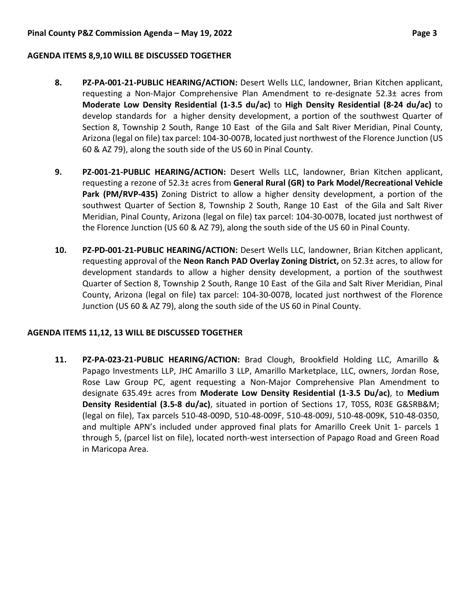#### **AGENDA ITEMS 8,9,10 WILL BE DISCUSSED TOGETHER**

- **8. PZ-PA-001-21-PUBLIC HEARING/ACTION:** Desert Wells LLC, landowner, Brian Kitchen applicant, requesting a Non-Major Comprehensive Plan Amendment to re-designate 52.3± acres from **Moderate Low Density Residential (1-3.5 du/ac)** to **High Density Residential (8-24 du/ac)** to develop standards for a higher density development, a portion of the southwest Quarter of Section 8, Township 2 South, Range 10 East of the Gila and Salt River Meridian, Pinal County, Arizona (legal on file) tax parcel: 104-30-007B, located just northwest of the Florence Junction (US 60 & AZ 79), along the south side of the US 60 in Pinal County.
- **9. PZ-001-21-PUBLIC HEARING/ACTION:** Desert Wells LLC, landowner, Brian Kitchen applicant, requesting a rezone of 52.3± acres from **General Rural (GR) to Park Model/Recreational Vehicle Park (PM/RVP-435)** Zoning District to allow a higher density development, a portion of the southwest Quarter of Section 8, Township 2 South, Range 10 East of the Gila and Salt River Meridian, Pinal County, Arizona (legal on file) tax parcel: 104-30-007B, located just northwest of the Florence Junction (US 60 & AZ 79), along the south side of the US 60 in Pinal County.
- **10. PZ-PD-001-21-PUBLIC HEARING/ACTION:** Desert Wells LLC, landowner, Brian Kitchen applicant, requesting approval of the **Neon Ranch PAD Overlay Zoning District,** on 52.3± acres, to allow for development standards to allow a higher density development, a portion of the southwest Quarter of Section 8, Township 2 South, Range 10 East of the Gila and Salt River Meridian, Pinal County, Arizona (legal on file) tax parcel: 104-30-007B, located just northwest of the Florence Junction (US 60 & AZ 79), along the south side of the US 60 in Pinal County.

### **AGENDA ITEMS 11,12, 13 WILL BE DISCUSSED TOGETHER**

**11. PZ-PA-023-21-PUBLIC HEARING/ACTION:** Brad Clough, Brookfield Holding LLC, Amarillo & Papago Investments LLP, JHC Amarillo 3 LLP, Amarillo Marketplace, LLC, owners, Jordan Rose, Rose Law Group PC, agent requesting a Non-Major Comprehensive Plan Amendment to designate 635.49± acres from **Moderate Low Density Residential (1-3.5 Du/ac)**, to **Medium Density Residential (3.5-8 du/ac)**, situated in portion of Sections 17, T05S, R03E G&SRB&M; (legal on file), Tax parcels 510-48-009D, 510-48-009F, 510-48-009J, 510-48-009K, 510-48-0350, and multiple APN's included under approved final plats for Amarillo Creek Unit 1- parcels 1 through 5, (parcel list on file), located north-west intersection of Papago Road and Green Road in Maricopa Area.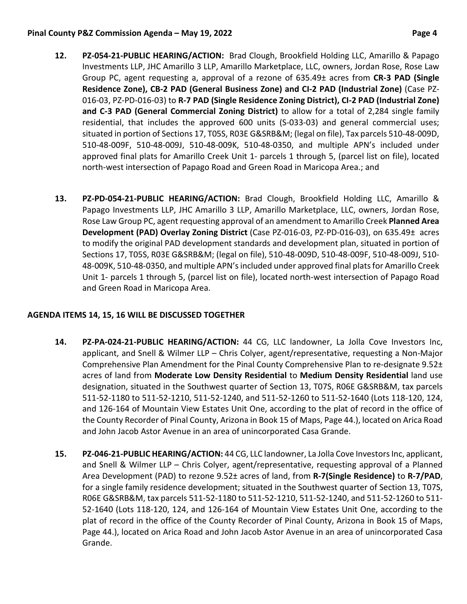#### **Pinal County P&Z Commission Agenda – May 19, 2022 Page 4**

- **12. PZ-054-21-PUBLIC HEARING/ACTION:** Brad Clough, Brookfield Holding LLC, Amarillo & Papago Investments LLP, JHC Amarillo 3 LLP, Amarillo Marketplace, LLC, owners, Jordan Rose, Rose Law Group PC, agent requesting a, approval of a rezone of 635.49± acres from **CR-3 PAD (Single Residence Zone), CB-2 PAD (General Business Zone) and CI-2 PAD (Industrial Zone)** (Case PZ-016-03, PZ-PD-016-03) to **R-7 PAD (Single Residence Zoning District), CI-2 PAD (Industrial Zone) and C-3 PAD (General Commercial Zoning District)** to allow for a total of 2,284 single family residential, that includes the approved 600 units (S-033-03) and general commercial uses; situated in portion of Sections 17, T05S, R03E G&SRB&M; (legal on file), Tax parcels 510-48-009D, 510-48-009F, 510-48-009J, 510-48-009K, 510-48-0350, and multiple APN's included under approved final plats for Amarillo Creek Unit 1- parcels 1 through 5, (parcel list on file), located north-west intersection of Papago Road and Green Road in Maricopa Area.; and
- **13. PZ-PD-054-21-PUBLIC HEARING/ACTION:** Brad Clough, Brookfield Holding LLC, Amarillo & Papago Investments LLP, JHC Amarillo 3 LLP, Amarillo Marketplace, LLC, owners, Jordan Rose, Rose Law Group PC, agent requesting approval of an amendment to Amarillo Creek **Planned Area Development (PAD) Overlay Zoning District** (Case PZ-016-03, PZ-PD-016-03), on 635.49± acres to modify the original PAD development standards and development plan, situated in portion of Sections 17, T05S, R03E G&SRB&M; (legal on file), 510-48-009D, 510-48-009F, 510-48-009J, 510- 48-009K, 510-48-0350, and multiple APN's included under approved final plats for Amarillo Creek Unit 1- parcels 1 through 5, (parcel list on file), located north-west intersection of Papago Road and Green Road in Maricopa Area.

# **AGENDA ITEMS 14, 15, 16 WILL BE DISCUSSED TOGETHER**

- **14. PZ-PA-024-21-PUBLIC HEARING/ACTION:** 44 CG, LLC landowner, La Jolla Cove Investors Inc, applicant, and Snell & Wilmer LLP – Chris Colyer, agent/representative, requesting a Non-Major Comprehensive Plan Amendment for the Pinal County Comprehensive Plan to re-designate 9.52± acres of land from **Moderate Low Density Residential** to **Medium Density Residential** land use designation, situated in the Southwest quarter of Section 13, T07S, R06E G&SRB&M, tax parcels 511-52-1180 to 511-52-1210, 511-52-1240, and 511-52-1260 to 511-52-1640 (Lots 118-120, 124, and 126-164 of Mountain View Estates Unit One, according to the plat of record in the office of the County Recorder of Pinal County, Arizona in Book 15 of Maps, Page 44.), located on Arica Road and John Jacob Astor Avenue in an area of unincorporated Casa Grande.
- **15. PZ-046-21-PUBLIC HEARING/ACTION:** 44 CG, LLC landowner, La Jolla Cove Investors Inc, applicant, and Snell & Wilmer LLP – Chris Colyer, agent/representative, requesting approval of a Planned Area Development (PAD) to rezone 9.52± acres of land, from **R-7(Single Residence)** to **R-7/PAD**, for a single family residence development; situated in the Southwest quarter of Section 13, T07S, R06E G&SRB&M, tax parcels 511-52-1180 to 511-52-1210, 511-52-1240, and 511-52-1260 to 511- 52-1640 (Lots 118-120, 124, and 126-164 of Mountain View Estates Unit One, according to the plat of record in the office of the County Recorder of Pinal County, Arizona in Book 15 of Maps, Page 44.), located on Arica Road and John Jacob Astor Avenue in an area of unincorporated Casa Grande.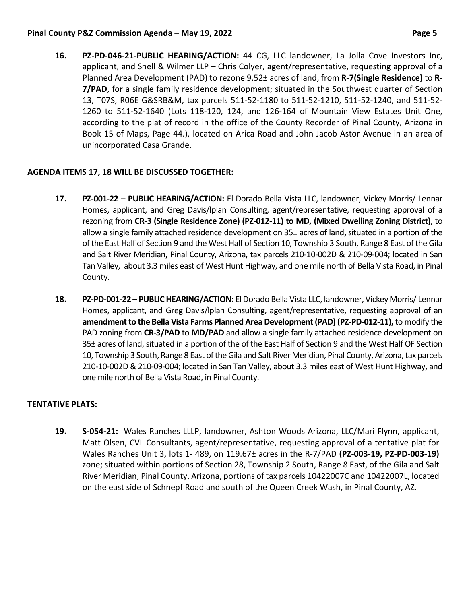### **Pinal County P&Z Commission Agenda – May 19, 2022 Page 5**

**16. PZ-PD-046-21-PUBLIC HEARING/ACTION:** 44 CG, LLC landowner, La Jolla Cove Investors Inc, applicant, and Snell & Wilmer LLP – Chris Colyer, agent/representative, requesting approval of a Planned Area Development (PAD) to rezone 9.52± acres of land, from **R-7(Single Residence)** to **R-7/PAD**, for a single family residence development; situated in the Southwest quarter of Section 13, T07S, R06E G&SRB&M, tax parcels 511-52-1180 to 511-52-1210, 511-52-1240, and 511-52- 1260 to 511-52-1640 (Lots 118-120, 124, and 126-164 of Mountain View Estates Unit One, according to the plat of record in the office of the County Recorder of Pinal County, Arizona in Book 15 of Maps, Page 44.), located on Arica Road and John Jacob Astor Avenue in an area of unincorporated Casa Grande.

# **AGENDA ITEMS 17, 18 WILL BE DISCUSSED TOGETHER:**

- **17. PZ-001-22 – PUBLIC HEARING/ACTION:** El Dorado Bella Vista LLC, landowner, Vickey Morris/ Lennar Homes, applicant, and Greg Davis/lplan Consulting, agent/representative, requesting approval of a rezoning from **CR-3 (Single Residence Zone) (PZ-012-11) to MD, (Mixed Dwelling Zoning District)**, to allow a single family attached residence development on 35± acres of land**,** situated in a portion of the of the East Half of Section 9 and the West Half of Section 10, Township 3 South, Range 8 East of the Gila and Salt River Meridian, Pinal County, Arizona, tax parcels 210-10-002D & 210-09-004; located in San Tan Valley, about 3.3 miles east of West Hunt Highway, and one mile north of Bella Vista Road, in Pinal County.
- **18. PZ-PD-001-22 – PUBLIC HEARING/ACTION:** El Dorado Bella Vista LLC, landowner, Vickey Morris/ Lennar Homes, applicant, and Greg Davis/lplan Consulting, agent/representative, requesting approval of an **amendment to the Bella Vista Farms Planned Area Development (PAD) (PZ-PD-012-11),**to modify the PAD zoning from **CR-3/PAD** to **MD/PAD** and allow a single family attached residence development on 35± acres of land, situated in a portion of the of the East Half of Section 9 and the West Half OF Section 10, Township 3 South, Range 8 East of the Gila and Salt River Meridian, Pinal County, Arizona, tax parcels 210-10-002D & 210-09-004; located in San Tan Valley, about 3.3 miles east of West Hunt Highway, and one mile north of Bella Vista Road, in Pinal County.

# **TENTATIVE PLATS:**

**19. S-054-21:** Wales Ranches LLLP, landowner, Ashton Woods Arizona, LLC/Mari Flynn, applicant, Matt Olsen, CVL Consultants, agent/representative, requesting approval of a tentative plat for Wales Ranches Unit 3, lots 1- 489, on 119.67± acres in the R-7/PAD **(PZ-003-19, PZ-PD-003-19)** zone; situated within portions of Section 28, Township 2 South, Range 8 East, of the Gila and Salt River Meridian, Pinal County, Arizona, portions of tax parcels 10422007C and 10422007L, located on the east side of Schnepf Road and south of the Queen Creek Wash, in Pinal County, AZ.